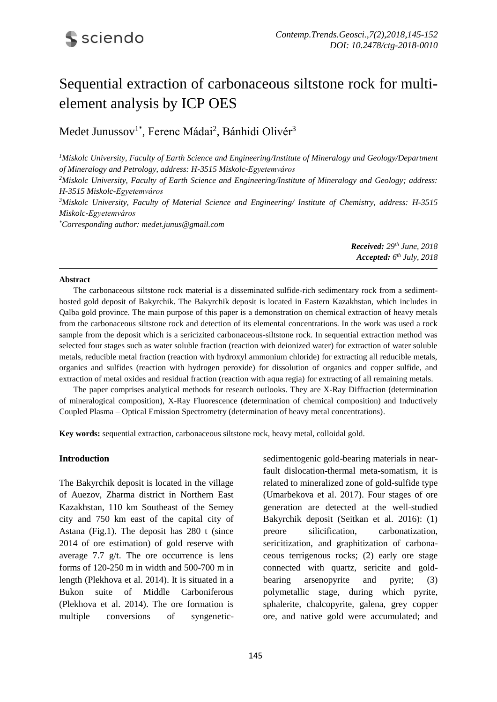# Sequential extraction of carbonaceous siltstone rock for multielement analysis by ICP OES

Medet Junussov<sup>1\*</sup>, Ferenc Mádai<sup>2</sup>, Bánhidi Olivér<sup>3</sup>

<sup>1</sup>*Miskolc University, Faculty of Earth Science and Engineering/Institute of Mineralogy and Geology/Department of Mineralogy and Petrology, address: H-3515 Miskolc-Egyetemváros*

*<sup>2</sup>Miskolc University, Faculty of Earth Science and Engineering/Institute of Mineralogy and Geology; address: H-3515 Miskolc-Egyetemváros*

*<sup>3</sup>Miskolc University, Faculty of Material Science and Engineering/ Institute of Chemistry, address: H-3515 Miskolc-Egyetemváros*

*\*Corresponding author: medet.junus@gmail.com*

| <b>Received:</b> $29th$ June, $2018$ |  |
|--------------------------------------|--|
| Accepted: $6^{th}$ July, 2018        |  |

#### **Abstract**

The carbonaceous siltstone rock material is a disseminated sulfide-rich sedimentary rock from a sedimenthosted gold deposit of Bakyrchik. The Bakyrchik deposit is located in Eastern Kazakhstan, which includes in Qalba gold province. The main purpose of this paper is a demonstration on chemical extraction of heavy metals from the carbonaceous siltstone rock and detection of its elemental concentrations. In the work was used a rock sample from the deposit which is a sericizited carbonaceous-siltstone rock. In sequential extraction method was selected four stages such as water soluble fraction (reaction with deionized water) for extraction of water soluble metals, reducible metal fraction (reaction with hydroxyl ammonium chloride) for extracting all reducible metals, organics and sulfides (reaction with hydrogen peroxide) for dissolution of organics and copper sulfide, and extraction of metal oxides and residual fraction (reaction with aqua regia) for extracting of all remaining metals.

The paper comprises analytical methods for research outlooks. They are X-Ray Diffraction (determination of mineralogical composition), X-Ray Fluorescence (determination of chemical composition) and Inductively Coupled Plasma – Optical Emission Spectrometry (determination of heavy metal concentrations).

**Key words:** sequential extraction, carbonaceous siltstone rock, heavy metal, colloidal gold.

#### **Introduction**

The Bakyrchik deposit is located in the village of Auezov, Zharma district in Northern East Kazakhstan, 110 km Southeast of the Semey city and 750 km east of the capital city of Astana (Fig.1). The deposit has 280 t (since 2014 of ore estimation) of gold reserve with average 7.7 g/t. The ore occurrence is lens forms of 120-250 m in width and 500-700 m in length (Plekhova et al. 2014). It is situated in a Bukon suite of Middle Carboniferous (Plekhova et al. 2014). The ore formation is multiple conversions of syngeneticsedimentogenic gold-bearing materials in nearfault dislocation-thermal meta-somatism, it is related to mineralized zone of gold-sulfide type (Umarbekova et al. 2017). Four stages of ore generation are detected at the well-studied Bakyrchik deposit (Seitkan et al. 2016): (1) preore silicification, carbonatization, sericitization, and graphitization of carbonaceous terrigenous rocks; (2) early ore stage connected with quartz, sericite and goldbearing arsenopyrite and pyrite; (3) polymetallic stage, during which pyrite, sphalerite, chalcopyrite, galena, grey copper ore, and native gold were accumulated; and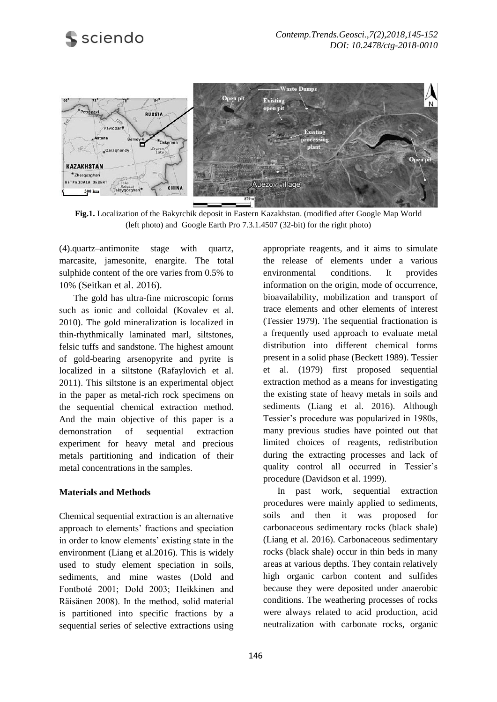

**Fig.1.** Localization of the Bakyrchik deposit in Eastern Kazakhstan. (modified after Google Map World (left photo) and Google Earth Pro 7.3.1.4507 (32-bit) for the right photo)

(4).quartz–antimonite stage with quartz, marcasite, jamesonite, enargite. The total sulphide content of the ore varies from 0.5% to 10% (Seitkan et al. 2016).

The gold has ultra-fine microscopic forms such as ionic and colloidal (Kovalev et al. 2010). The gold mineralization is localized in thin-rhythmically laminated marl, siltstones, felsic tuffs and sandstone. The highest amount of gold-bearing arsenopyrite and pyrite is localized in a siltstone (Rafaylovich et al. 2011). This siltstone is an experimental object in the paper as metal-rich rock specimens on the sequential chemical extraction method. And the main objective of this paper is a demonstration of sequential extraction experiment for heavy metal and precious metals partitioning and indication of their metal concentrations in the samples.

## **Materials and Methods**

Chemical sequential extraction is an alternative approach to elements' fractions and speciation in order to know elements' existing state in the environment (Liang et al.2016). This is widely used to study element speciation in soils, sediments, and mine wastes (Dold and Fontboté 2001; Dold 2003; Heikkinen and Räisänen 2008). In the method, solid material is partitioned into specific fractions by a sequential series of selective extractions using appropriate reagents, and it aims to simulate the release of elements under a various environmental conditions. It provides information on the origin, mode of occurrence, bioavailability, mobilization and transport of trace elements and other elements of interest (Tessier 1979). The sequential fractionation is a frequently used approach to evaluate metal distribution into different chemical forms present in a solid phase (Beckett 1989). Tessier et al. (1979) first proposed sequential extraction method as a means for investigating the existing state of heavy metals in soils and sediments (Liang et al. 2016). Although Tessier's procedure was popularized in 1980s, many previous studies have pointed out that limited choices of reagents, redistribution during the extracting processes and lack of quality control all occurred in Tessier's procedure (Davidson et al. 1999).

In past work, sequential extraction procedures were mainly applied to sediments, soils and then it was proposed for carbonaceous sedimentary rocks (black shale) (Liang et al. 2016). Carbonaceous sedimentary rocks (black shale) occur in thin beds in many areas at various depths. They contain relatively high organic carbon content and sulfides because they were deposited under anaerobic conditions. The weathering processes of rocks were always related to acid production, acid neutralization with carbonate rocks, organic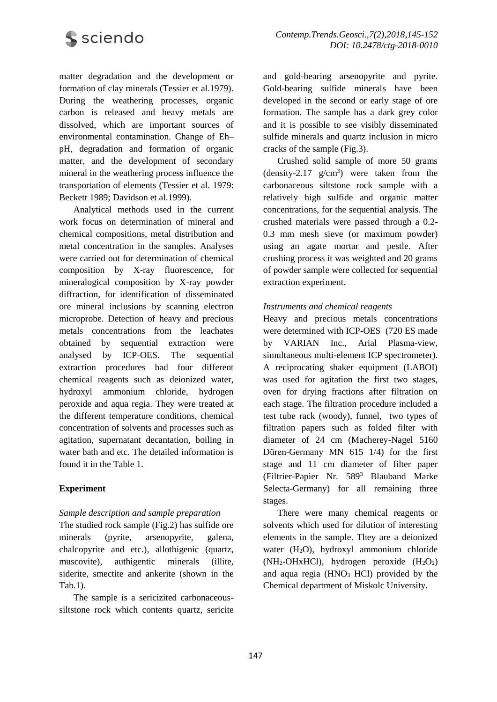

matter degradation and the development or formation of clay minerals (Tessier et al.1979). During the weathering processes, organic carbon is released and heavy metals are dissolved, which are important sources of environmental contamination. Change of Eh– pH, degradation and formation of organic matter, and the development of secondary mineral in the weathering process influence the transportation of elements (Tessier et al. 1979: Beckett 1989; Davidson et al.1999).

Analytical methods used in the current work focus on determination of mineral and chemical compositions, metal distribution and metal concentration in the samples. Analyses were carried out for determination of chemical composition by X-ray fluorescence, for mineralogical composition by X-ray powder diffraction, for identification of disseminated ore mineral inclusions by scanning electron microprobe. Detection of heavy and precious metals concentrations from the leachates obtained by sequential extraction were analysed by ICP-OES. The sequential extraction procedures had four different chemical reagents such as deionized water, hydroxyl ammonium chloride, hydrogen peroxide and aqua regia. They were treated at the different temperature conditions, chemical concentration of solvents and processes such as agitation, supernatant decantation, boiling in water bath and etc. The detailed information is found it in the Table 1.

# **Experiment**

## *Sample description and sample preparation*

The studied rock sample (Fig.2) has sulfide ore minerals (pyrite, arsenopyrite, galena, chalcopyrite and etc.), allothigenic (quartz, muscovite), authigentic minerals (illite, siderite, smectite and ankerite (shown in the Tab.1).

The sample is a sericizited carbonaceoussiltstone rock which contents quartz, sericite and gold-bearing arsenopyrite and pyrite. Gold-bearing sulfide minerals have been developed in the second or early stage of ore formation. The sample has a dark grey color and it is possible to see visibly disseminated sulfide minerals and quartz inclusion in micro cracks of the sample (Fig.3).

Crushed solid sample of more 50 grams  $(density-2.17 g/cm<sup>3</sup>)$  were taken from the carbonaceous siltstone rock sample with a relatively high sulfide and organic matter concentrations, for the sequential analysis. The crushed materials were passed through a 0.2- 0.3 mm mesh sieve (or maximum powder) using an agate mortar and pestle. After crushing process it was weighted and 20 grams of powder sample were collected for sequential extraction experiment.

## *Instruments and chemical reagents*

Heavy and precious metals concentrations were determined with ICP-OES (720 ES made by VARIAN Inc., Arial Plasma-view, simultaneous multi-element ICP spectrometer). A reciprocating shaker equipment (LABOI) was used for agitation the first two stages, oven for drying fractions after filtration on each stage. The filtration procedure included a test tube rack (woody), funnel, two types of filtration papers such as folded filter with diameter of 24 cm (Macherey-Nagel 5160 Düren-Germany MN 615 1/4) for the first stage and 11 cm diameter of filter paper (Filtrier-Papier Nr. 589<sup>3</sup> Blauband Marke Selecta-Germany) for all remaining three stages.

There were many chemical reagents or solvents which used for dilution of interesting elements in the sample. They are a deionized water  $(H<sub>2</sub>O)$ , hydroxyl ammonium chloride  $(NH_2-OHxHC)$ , hydrogen peroxide  $(H_2O_2)$ and aqua regia  $(HNO<sub>3</sub> HCl)$  provided by the Chemical department of Miskolc University.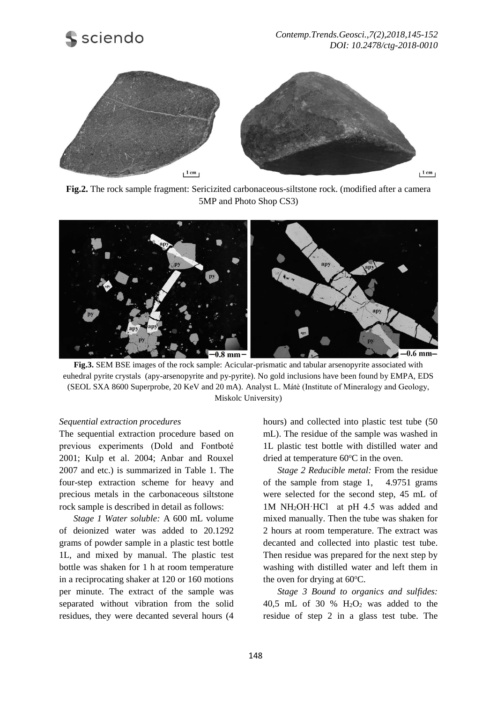



**Fig.2.** The rock sample fragment: Sericizited carbonaceous-siltstone rock. (modified after a camera 5MP and Photo Shop CS3)



**Fig.3.** SEM BSE images of the rock sample: Acicular-prismatic and tabular arsenopyrite associated with euhedral pyrite crystals (apy-arsenopyrite and py-pyrite). No gold inclusions have been found by EMPA, EDS (SEOL SXA 8600 Superprobe, 20 KeV and 20 mA). Analyst L. Mátè (Institute of Mineralogy and Geology, Miskolc University)

#### *Sequential extraction procedures*

The sequential extraction procedure based on previous experiments (Dold and Fontboté 2001; Kulp et al. 2004; Anbar and Rouxel 2007 and etc.) is summarized in Table 1. The four-step extraction scheme for heavy and precious metals in the carbonaceous siltstone rock sample is described in detail as follows:

*Stage 1 Water soluble:* A 600 mL volume of deionized water was added to 20.1292 grams of powder sample in a plastic test bottle 1L, and mixed by manual. The plastic test bottle was shaken for 1 h at room temperature in a reciprocating shaker at 120 or 160 motions per minute. The extract of the sample was separated without vibration from the solid residues, they were decanted several hours (4

hours) and collected into plastic test tube (50 mL). The residue of the sample was washed in 1L plastic test bottle with distilled water and dried at temperature  $60^{\circ}$ C in the oven.

*Stage 2 Reducible metal:* From the residue of the sample from stage 1, 4.9751 grams were selected for the second step, 45 mL of 1M NH2OH·HCl at pH 4.5 was added and mixed manually. Then the tube was shaken for 2 hours at room temperature. The extract was decanted and collected into plastic test tube. Then residue was prepared for the next step by washing with distilled water and left them in the oven for drying at  $60^{\circ}$ C.

*Stage 3 Bound to organics and sulfides:* 40,5 mL of 30 %  $H<sub>2</sub>O<sub>2</sub>$  was added to the residue of step 2 in a glass test tube. The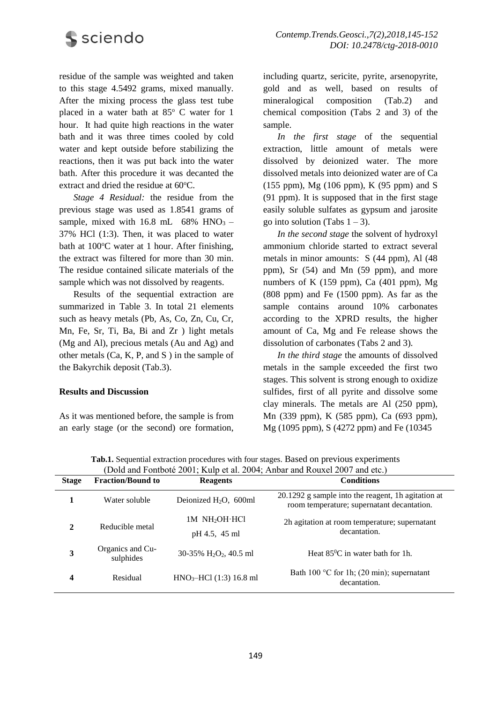

residue of the sample was weighted and taken to this stage 4.5492 grams, mixed manually. After the mixing process the glass test tube placed in a water bath at  $85^{\circ}$  C water for 1 hour. It had quite high reactions in the water bath and it was three times cooled by cold water and kept outside before stabilizing the reactions, then it was put back into the water bath. After this procedure it was decanted the extract and dried the residue at  $60^{\circ}$ C.

*Stage 4 Residual:* the residue from the previous stage was used as 1.8541 grams of sample, mixed with  $16.8$  mL  $68\%$  HNO<sub>3</sub> – 37% HCl (1:3). Then, it was placed to water bath at  $100^{\circ}$ C water at 1 hour. After finishing, the extract was filtered for more than 30 min. The residue contained silicate materials of the sample which was not dissolved by reagents.

Results of the sequential extraction are summarized in Table 3. In total 21 elements such as heavy metals (Pb, As, Co, Zn, Cu, Cr, Mn, Fe, Sr, Ti, Ba, Bi and Zr ) light metals (Mg and Al), precious metals (Au and Ag) and other metals (Ca, K, P, and S ) in the sample of the Bakyrchik deposit (Tab.3).

#### **Results and Discussion**

As it was mentioned before, the sample is from an early stage (or the second) ore formation,

including quartz, sericite, pyrite, arsenopyrite, gold and as well, based on results of mineralogical composition (Tab.2) and chemical composition (Tabs 2 and 3) of the sample.

*In the first stage* of the sequential extraction, little amount of metals were dissolved by deionized water. The more dissolved metals into deionized water are of Ca (155 ppm), Mg (106 ppm), K (95 ppm) and S (91 ppm). It is supposed that in the first stage easily soluble sulfates as gypsum and jarosite go into solution (Tabs  $1 - 3$ ).

*In the second stage* the solvent of hydroxyl ammonium chloride started to extract several metals in minor amounts: S (44 ppm), Al (48 ppm), Sr (54) and Mn (59 ppm), and more numbers of K  $(159$  ppm), Ca  $(401$  ppm), Mg (808 ppm) and Fe (1500 ppm). As far as the sample contains around 10% carbonates according to the XPRD results, the higher amount of Ca, Mg and Fe release shows the dissolution of carbonates (Tabs 2 and 3).

*In the third stage* the amounts of dissolved metals in the sample exceeded the first two stages. This solvent is strong enough to oxidize sulfides, first of all pyrite and dissolve some clay minerals. The metals are Al (250 ppm), Mn (339 ppm), K (585 ppm), Ca (693 ppm), Mg (1095 ppm), S (4272 ppm) and Fe (10345

| <b>Stage</b> | <b>Fraction/Bound to</b>      | <b>Reagents</b>                                   | <b>Conditions</b>                                                                                |
|--------------|-------------------------------|---------------------------------------------------|--------------------------------------------------------------------------------------------------|
|              | Water soluble                 | Deionized $H_2O$ , 600ml                          | 20.1292 g sample into the reagent, 1h agitation at<br>room temperature; supernatant decantation. |
| $\mathbf{2}$ | Reducible metal               | 1M NH <sub>2</sub> OH HCl<br>pH 4.5, 45 ml        | 2h agitation at room temperature; supernatant<br>decantation.                                    |
| 3            | Organics and Cu-<br>sulphides | $30-35\%$ H <sub>2</sub> O <sub>2</sub> , 40.5 ml | Heat $85^{\circ}$ C in water bath for 1h.                                                        |
| 4            | Residual                      | $HNO3-HCl$ (1:3) 16.8 ml                          | Bath 100 $\degree$ C for 1h; (20 min); supernatant<br>decantation.                               |

**Tab.1.** Sequential extraction procedures with four stages. Based on previous experiments (Dold and Fontboté 2001; Kulp et al. 2004; Anbar and Rouxel 2007 and etc.)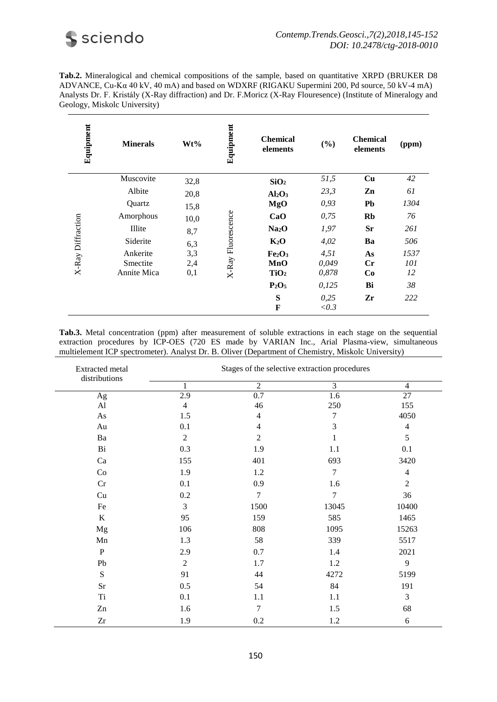

**Tab.2.** Mineralogical and chemical compositions of the sample, based on quantitative XRPD (BRUKER D8 ADVANCE, Cu-Kα 40 kV, 40 mA) and based on WDXRF (RIGAKU Supermini 200, Pd source, 50 kV-4 mA) Analysts Dr. F. Kristály (X-Ray diffraction) and Dr. F.Moricz (X-Ray Flouresence) (Institute of Mineralogy and Geology, Miskolc University)

| Equipment         | <b>Minerals</b>    | Wt%  | Equipment          | <b>Chemical</b><br>elements    | (%)           | <b>Chemical</b><br>elements | (ppm) |    |
|-------------------|--------------------|------|--------------------|--------------------------------|---------------|-----------------------------|-------|----|
|                   | Muscovite          | 32,8 | X-Ray Fluorescence | SiO <sub>2</sub>               | 51,5          | Cu                          | 42    |    |
|                   | Albite             | 20,8 |                    |                                | $Al_2O_3$     | 23,3                        | Zn    | 61 |
|                   | Quartz             | 15,8 |                    | MgO                            | 0,93          | <b>Pb</b>                   | 1304  |    |
|                   | Amorphous          | 10,0 |                    | CaO                            | 0.75          | Rb                          | 76    |    |
| X-Ray Diffraction | Illite             | 8,7  |                    | Na <sub>2</sub> O              | 1,97          | <b>Sr</b>                   | 261   |    |
|                   | Siderite           | 6,3  |                    | $K_2O$                         | 4,02          | Ba                          | 506   |    |
|                   | Ankerite           | 3,3  |                    | Fe <sub>2</sub> O <sub>3</sub> | 4,51          | As                          | 1537  |    |
|                   | Smectite           | 2,4  |                    | MnO                            | 0,049         | $\mathbf{C}$ r              | 101   |    |
|                   | <b>Annite Mica</b> | 0,1  |                    | TiO <sub>2</sub>               | 0,878         | Co                          | 12    |    |
|                   |                    |      |                    | $P_2O_5$                       | 0,125         | Bi                          | 38    |    |
|                   |                    |      |                    | S<br>F                         | 0,25<br>< 0.3 | Zr                          | 222   |    |

**Tab.3.** Metal concentration (ppm) after measurement of soluble extractions in each stage on the sequential extraction procedures by ICP-OES (720 ES made by VARIAN Inc., Arial Plasma-view, simultaneous multielement ICP spectrometer). Analyst Dr. B. Oliver (Department of Chemistry, Miskolc University)

| Extracted metal        | Stages of the selective extraction procedures |                |                |                  |  |
|------------------------|-----------------------------------------------|----------------|----------------|------------------|--|
| distributions          | $\mathbf{1}$                                  | $\overline{2}$ | $\overline{3}$ | $\overline{4}$   |  |
| Ag                     | 2.9                                           | 0.7            | 1.6            | 27               |  |
| $\mathbf{A}$ l         | $\overline{4}$                                | 46             | 250            | 155              |  |
| As                     | 1.5                                           | 4              | 7              | 4050             |  |
| Au                     | 0.1                                           | 4              | 3              | $\overline{4}$   |  |
| Ba                     | 2                                             | $\overline{2}$ |                | 5                |  |
| Bi                     | 0.3                                           | 1.9            | 1.1            | 0.1              |  |
| Ca                     | 155                                           | 401            | 693            | 3420             |  |
| Co                     | 1.9                                           | 1.2            | 7              | $\overline{4}$   |  |
| Cr                     | 0.1                                           | 0.9            | 1.6            | $\boldsymbol{2}$ |  |
| Cu                     | 0.2                                           | 7              | $\tau$         | 36               |  |
| Fe                     | 3                                             | 1500           | 13045          | 10400            |  |
| $\bf K$                | 95                                            | 159            | 585            | 1465             |  |
| Mg                     | 106                                           | 808            | 1095           | 15263            |  |
| Mn                     | 1.3                                           | 58             | 339            | 5517             |  |
| $\mathbf{P}$           | 2.9                                           | 0.7            | 1.4            | 2021             |  |
| ${\rm Pb}$             | $\overline{2}$                                | 1.7            | 1.2            | 9                |  |
| ${\bf S}$              | 91                                            | 44             | 4272           | 5199             |  |
| Sr                     | 0.5                                           | 54             | 84             | 191              |  |
| $\rm Ti$               | 0.1                                           | 1.1            | 1.1            | 3                |  |
| Zn                     | 1.6                                           | $\overline{7}$ | 1.5            | 68               |  |
| $\mathbf{Z}\mathbf{r}$ | 1.9                                           | $0.2\,$        | 1.2            | $\sqrt{6}$       |  |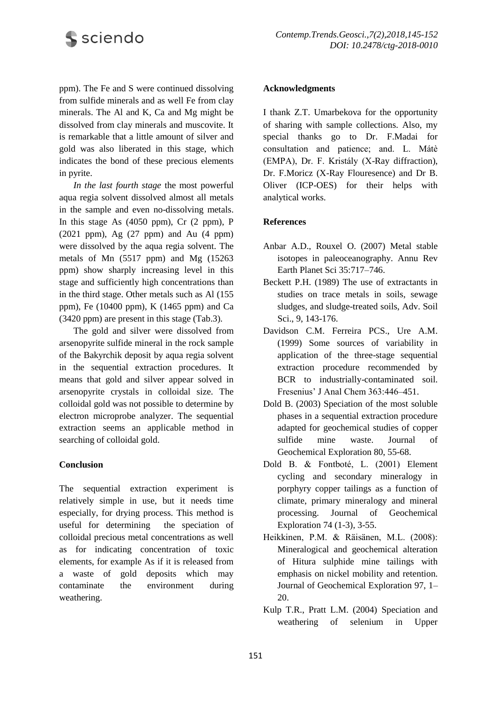

ppm). The Fe and S were continued dissolving from sulfide minerals and as well Fe from clay minerals. The Al and K, Ca and Mg might be dissolved from clay minerals and muscovite. It is remarkable that a little amount of silver and gold was also liberated in this stage, which indicates the bond of these precious elements in pyrite.

*In the last fourth stage* the most powerful aqua regia solvent dissolved almost all metals in the sample and even no-dissolving metals. In this stage As (4050 ppm), Cr (2 ppm), P (2021 ppm), Ag (27 ppm) and Au (4 ppm) were dissolved by the aqua regia solvent. The metals of Mn (5517 ppm) and Mg (15263 ppm) show sharply increasing level in this stage and sufficiently high concentrations than in the third stage. Other metals such as Al (155 ppm), Fe  $(10400 \text{ ppm})$ , K  $(1465 \text{ ppm})$  and Ca (3420 ppm) are present in this stage (Tab.3).

The gold and silver were dissolved from arsenopyrite sulfide mineral in the rock sample of the Bakyrchik deposit by aqua regia solvent in the sequential extraction procedures. It means that gold and silver appear solved in arsenopyrite crystals in colloidal size. The colloidal gold was not possible to determine by electron microprobe analyzer. The sequential extraction seems an applicable method in searching of colloidal gold.

## **Conclusion**

The sequential extraction experiment is relatively simple in use, but it needs time especially, for drying process. This method is useful for determining the speciation of colloidal precious metal concentrations as well as for indicating concentration of toxic elements, for example As if it is released from a waste of gold deposits which may contaminate the environment during weathering.

#### **Acknowledgments**

I thank Z.T. Umarbekova for the opportunity of sharing with sample collections. Also, my special thanks go to Dr. F.Madai for consultation and patience; and. L. Mátè (EMPA), Dr. F. Kristály (X-Ray diffraction), Dr. F.Moricz (X-Ray Flouresence) and Dr B. Oliver (ICP-OES) for their helps with analytical works.

## **References**

- Anbar A.D., Rouxel O. (2007) Metal stable isotopes in paleoceanography. Annu Rev Earth Planet Sci 35:717–746.
- Beckett P.H. (1989) The use of extractants in studies on trace metals in soils, sewage sludges, and sludge-treated soils, Adv. Soil Sci., 9, 143-176.
- Davidson C.M. Ferreira PCS., Ure A.M. (1999) Some sources of variability in application of the three-stage sequential extraction procedure recommended by BCR to industrially-contaminated soil. Fresenius' J Anal Chem 363:446–451.
- Dold B. (2003) Speciation of the most soluble phases in a sequential extraction procedure adapted for geochemical studies of copper sulfide mine waste. Journal of Geochemical Exploration 80, 55-68.
- Dold B. & Fontboté, L. (2001) Element cycling and secondary mineralogy in porphyry copper tailings as a function of climate, primary mineralogy and mineral processing. Journal of Geochemical Exploration 74 (1-3), 3-55.
- Heikkinen, P.M. & Räisänen, M.L. (2008): Mineralogical and geochemical alteration of Hitura sulphide mine tailings with emphasis on nickel mobility and retention. Journal of Geochemical Exploration 97, 1– 20.
- Kulp T.R., Pratt L.M. (2004) Speciation and weathering of selenium in Upper